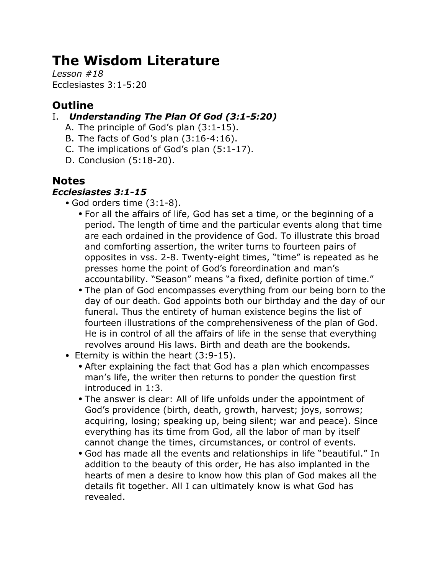# **The Wisdom Literature**

*Lesson #18* Ecclesiastes 3:1-5:20

# **Outline**

### I. *Understanding The Plan Of God (3:1-5:20)*

- A. The principle of God's plan (3:1-15).
- B. The facts of God's plan (3:16-4:16).
- C. The implications of God's plan (5:1-17).
- D. Conclusion (5:18-20).

## **Notes**

#### *Ecclesiastes 3:1-15*

- God orders time (3:1-8).
	- For all the affairs of life, God has set a time, or the beginning of a period. The length of time and the particular events along that time are each ordained in the providence of God. To illustrate this broad and comforting assertion, the writer turns to fourteen pairs of opposites in vss. 2-8. Twenty-eight times, "time" is repeated as he presses home the point of God's foreordination and man's accountability. "Season" means "a fixed, definite portion of time."
	- The plan of God encompasses everything from our being born to the day of our death. God appoints both our birthday and the day of our funeral. Thus the entirety of human existence begins the list of fourteen illustrations of the comprehensiveness of the plan of God. He is in control of all the affairs of life in the sense that everything revolves around His laws. Birth and death are the bookends.
- Eternity is within the heart (3:9-15).
	- After explaining the fact that God has a plan which encompasses man's life, the writer then returns to ponder the question first introduced in 1:3.
	- The answer is clear: All of life unfolds under the appointment of God's providence (birth, death, growth, harvest; joys, sorrows; acquiring, losing; speaking up, being silent; war and peace). Since everything has its time from God, all the labor of man by itself cannot change the times, circumstances, or control of events.
	- God has made all the events and relationships in life "beautiful." In addition to the beauty of this order, He has also implanted in the hearts of men a desire to know how this plan of God makes all the details fit together. All I can ultimately know is what God has revealed.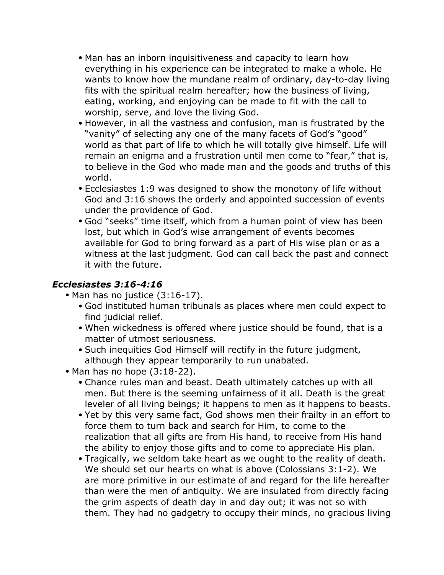- Man has an inborn inquisitiveness and capacity to learn how everything in his experience can be integrated to make a whole. He wants to know how the mundane realm of ordinary, day-to-day living fits with the spiritual realm hereafter; how the business of living, eating, working, and enjoying can be made to fit with the call to worship, serve, and love the living God.
- However, in all the vastness and confusion, man is frustrated by the "vanity" of selecting any one of the many facets of God's "good" world as that part of life to which he will totally give himself. Life will remain an enigma and a frustration until men come to "fear," that is, to believe in the God who made man and the goods and truths of this world.
- Ecclesiastes 1:9 was designed to show the monotony of life without God and 3:16 shows the orderly and appointed succession of events under the providence of God.
- God "seeks" time itself, which from a human point of view has been lost, but which in God's wise arrangement of events becomes available for God to bring forward as a part of His wise plan or as a witness at the last judgment. God can call back the past and connect it with the future.

#### *Ecclesiastes 3:16-4:16*

- Man has no justice (3:16-17).
	- God instituted human tribunals as places where men could expect to find judicial relief.
	- When wickedness is offered where justice should be found, that is a matter of utmost seriousness.
	- Such inequities God Himself will rectify in the future judgment, although they appear temporarily to run unabated.
- Man has no hope (3:18-22).
	- Chance rules man and beast. Death ultimately catches up with all men. But there is the seeming unfairness of it all. Death is the great leveler of all living beings; it happens to men as it happens to beasts.
	- Yet by this very same fact, God shows men their frailty in an effort to force them to turn back and search for Him, to come to the realization that all gifts are from His hand, to receive from His hand the ability to enjoy those gifts and to come to appreciate His plan.
	- Tragically, we seldom take heart as we ought to the reality of death. We should set our hearts on what is above (Colossians 3:1-2). We are more primitive in our estimate of and regard for the life hereafter than were the men of antiquity. We are insulated from directly facing the grim aspects of death day in and day out; it was not so with them. They had no gadgetry to occupy their minds, no gracious living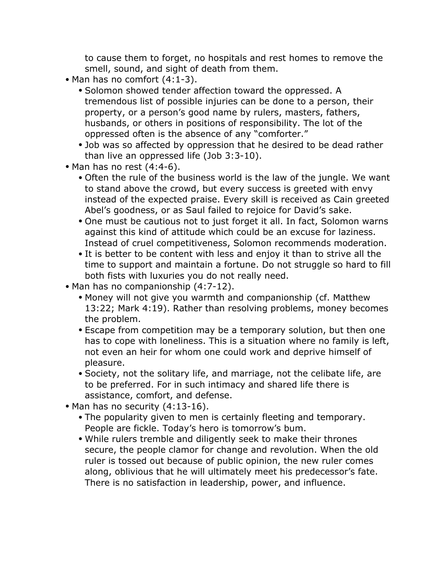to cause them to forget, no hospitals and rest homes to remove the smell, sound, and sight of death from them.

- Man has no comfort  $(4:1-3)$ .
	- Solomon showed tender affection toward the oppressed. A tremendous list of possible injuries can be done to a person, their property, or a person's good name by rulers, masters, fathers, husbands, or others in positions of responsibility. The lot of the oppressed often is the absence of any "comforter."
	- Job was so affected by oppression that he desired to be dead rather than live an oppressed life (Job 3:3-10).
- Man has no rest (4:4-6).
	- Often the rule of the business world is the law of the jungle. We want to stand above the crowd, but every success is greeted with envy instead of the expected praise. Every skill is received as Cain greeted Abel's goodness, or as Saul failed to rejoice for David's sake.
	- One must be cautious not to just forget it all. In fact, Solomon warns against this kind of attitude which could be an excuse for laziness. Instead of cruel competitiveness, Solomon recommends moderation.
	- It is better to be content with less and enjoy it than to strive all the time to support and maintain a fortune. Do not struggle so hard to fill both fists with luxuries you do not really need.
- Man has no companionship (4:7-12).
	- Money will not give you warmth and companionship (cf. Matthew 13:22; Mark 4:19). Rather than resolving problems, money becomes the problem.
	- Escape from competition may be a temporary solution, but then one has to cope with loneliness. This is a situation where no family is left, not even an heir for whom one could work and deprive himself of pleasure.
	- Society, not the solitary life, and marriage, not the celibate life, are to be preferred. For in such intimacy and shared life there is assistance, comfort, and defense.
- Man has no security (4:13-16).
	- The popularity given to men is certainly fleeting and temporary. People are fickle. Today's hero is tomorrow's bum.
	- While rulers tremble and diligently seek to make their thrones secure, the people clamor for change and revolution. When the old ruler is tossed out because of public opinion, the new ruler comes along, oblivious that he will ultimately meet his predecessor's fate. There is no satisfaction in leadership, power, and influence.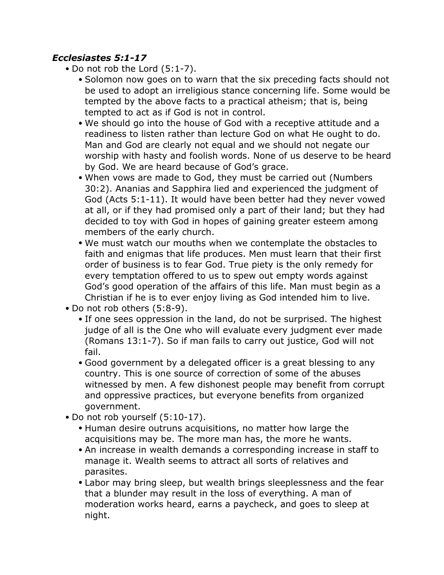#### *Ecclesiastes 5:1-17*

- Do not rob the Lord (5:1-7).
	- Solomon now goes on to warn that the six preceding facts should not be used to adopt an irreligious stance concerning life. Some would be tempted by the above facts to a practical atheism; that is, being tempted to act as if God is not in control.
	- We should go into the house of God with a receptive attitude and a readiness to listen rather than lecture God on what He ought to do. Man and God are clearly not equal and we should not negate our worship with hasty and foolish words. None of us deserve to be heard by God. We are heard because of God's grace.
	- When vows are made to God, they must be carried out (Numbers 30:2). Ananias and Sapphira lied and experienced the judgment of God (Acts 5:1-11). It would have been better had they never vowed at all, or if they had promised only a part of their land; but they had decided to toy with God in hopes of gaining greater esteem among members of the early church.
	- We must watch our mouths when we contemplate the obstacles to faith and enigmas that life produces. Men must learn that their first order of business is to fear God. True piety is the only remedy for every temptation offered to us to spew out empty words against God's good operation of the affairs of this life. Man must begin as a Christian if he is to ever enjoy living as God intended him to live.
- Do not rob others (5:8-9).
	- If one sees oppression in the land, do not be surprised. The highest judge of all is the One who will evaluate every judgment ever made (Romans 13:1-7). So if man fails to carry out justice, God will not fail.
	- Good government by a delegated officer is a great blessing to any country. This is one source of correction of some of the abuses witnessed by men. A few dishonest people may benefit from corrupt and oppressive practices, but everyone benefits from organized government.
- Do not rob yourself (5:10-17).
	- Human desire outruns acquisitions, no matter how large the acquisitions may be. The more man has, the more he wants.
	- An increase in wealth demands a corresponding increase in staff to manage it. Wealth seems to attract all sorts of relatives and parasites.
	- Labor may bring sleep, but wealth brings sleeplessness and the fear that a blunder may result in the loss of everything. A man of moderation works heard, earns a paycheck, and goes to sleep at night.